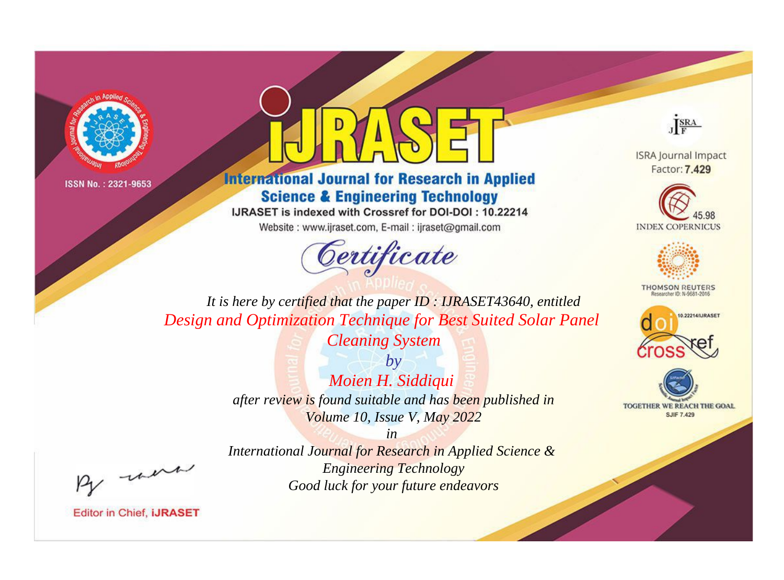



**International Journal for Research in Applied Science & Engineering Technology** 

IJRASET is indexed with Crossref for DOI-DOI: 10.22214

Website: www.ijraset.com, E-mail: ijraset@gmail.com



JERA

**ISRA Journal Impact** Factor: 7.429





**THOMSON REUTERS** 



TOGETHER WE REACH THE GOAL **SJIF 7.429** 

*It is here by certified that the paper ID : IJRASET43640, entitled Design and Optimization Technique for Best Suited Solar Panel* 

> *Cleaning System by*

*Moien H. Siddiqui after review is found suitable and has been published in Volume 10, Issue V, May 2022*

*in International Journal for Research in Applied Science & Engineering Technology Good luck for your future endeavors*

, un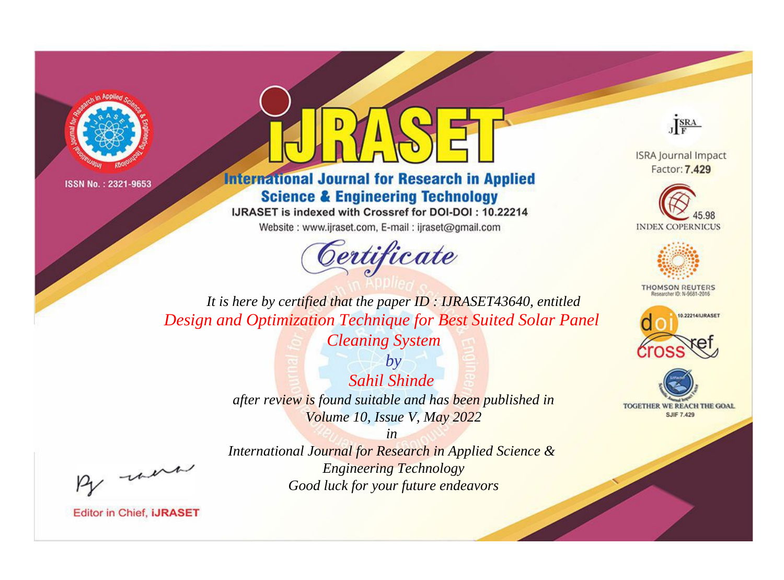



**International Journal for Research in Applied Science & Engineering Technology** 

IJRASET is indexed with Crossref for DOI-DOI: 10.22214

Website: www.ijraset.com, E-mail: ijraset@gmail.com



JERA

**ISRA Journal Impact** Factor: 7.429





**THOMSON REUTERS** 



TOGETHER WE REACH THE GOAL **SJIF 7.429** 

*It is here by certified that the paper ID : IJRASET43640, entitled Design and Optimization Technique for Best Suited Solar Panel* 

*Cleaning System*

*by Sahil Shinde after review is found suitable and has been published in Volume 10, Issue V, May 2022*

, un

*International Journal for Research in Applied Science & Engineering Technology Good luck for your future endeavors*

*in*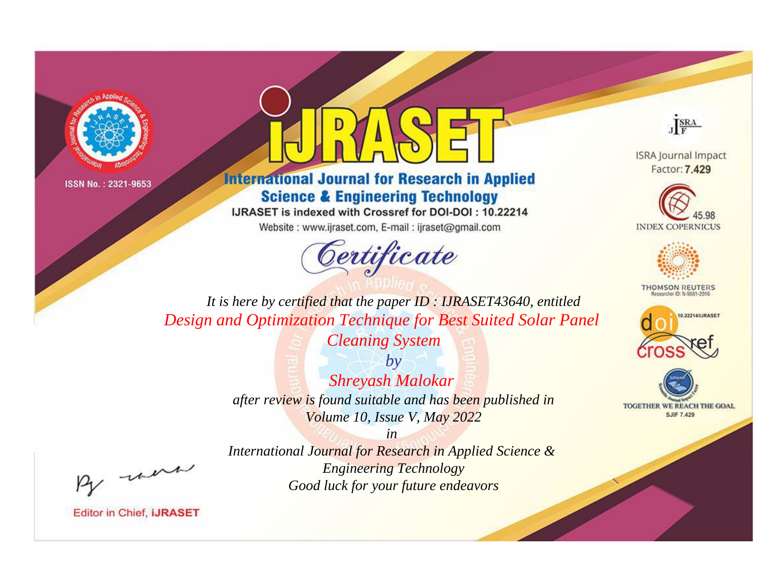



**International Journal for Research in Applied Science & Engineering Technology** 

IJRASET is indexed with Crossref for DOI-DOI: 10.22214

Website: www.ijraset.com, E-mail: ijraset@gmail.com



JERA

**ISRA Journal Impact** Factor: 7.429





**THOMSON REUTERS** 



TOGETHER WE REACH THE GOAL **SJIF 7.429** 

*It is here by certified that the paper ID : IJRASET43640, entitled Design and Optimization Technique for Best Suited Solar Panel* 

*Cleaning System*

*by Shreyash Malokar after review is found suitable and has been published in Volume 10, Issue V, May 2022*

, un

*International Journal for Research in Applied Science & Engineering Technology Good luck for your future endeavors*

*in*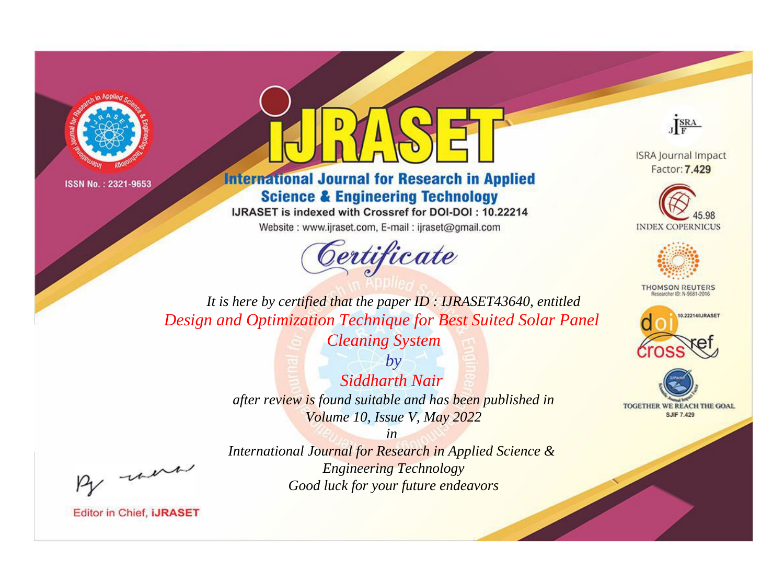



**International Journal for Research in Applied Science & Engineering Technology** 

IJRASET is indexed with Crossref for DOI-DOI: 10.22214

Website: www.ijraset.com, E-mail: ijraset@gmail.com



JERA

**ISRA Journal Impact** Factor: 7.429





**THOMSON REUTERS** 



TOGETHER WE REACH THE GOAL **SJIF 7.429** 

*It is here by certified that the paper ID : IJRASET43640, entitled Design and Optimization Technique for Best Suited Solar Panel* 

*Cleaning System by*

*Siddharth Nair after review is found suitable and has been published in Volume 10, Issue V, May 2022*

*in International Journal for Research in Applied Science & Engineering Technology Good luck for your future endeavors*

, un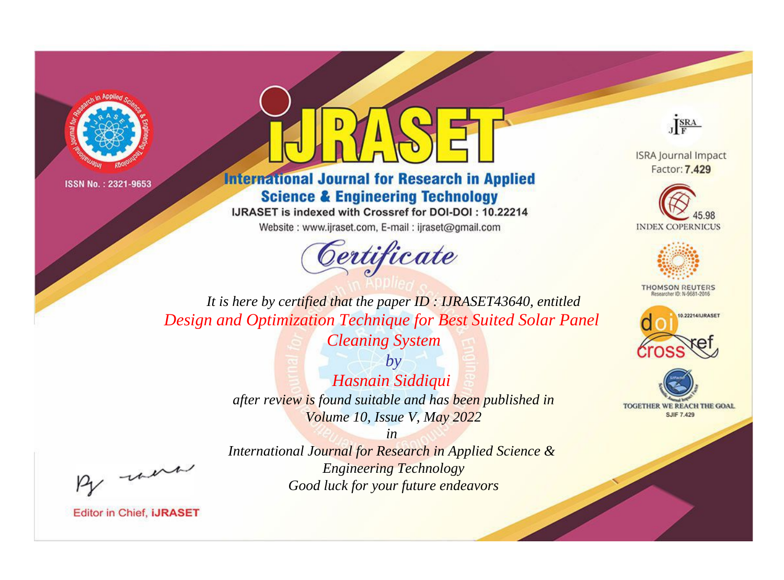



**International Journal for Research in Applied Science & Engineering Technology** 

IJRASET is indexed with Crossref for DOI-DOI: 10.22214

Website: www.ijraset.com, E-mail: ijraset@gmail.com



JERA

**ISRA Journal Impact** Factor: 7.429





**THOMSON REUTERS** 



TOGETHER WE REACH THE GOAL **SJIF 7.429** 

*It is here by certified that the paper ID : IJRASET43640, entitled Design and Optimization Technique for Best Suited Solar Panel* 

*Cleaning System*

*by Hasnain Siddiqui after review is found suitable and has been published in Volume 10, Issue V, May 2022*

*in* 

*International Journal for Research in Applied Science & Engineering Technology Good luck for your future endeavors*

, un

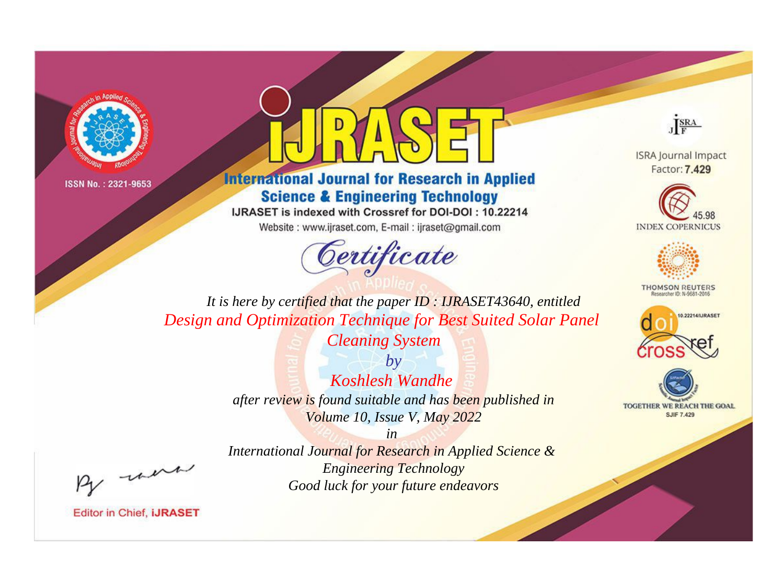



**International Journal for Research in Applied Science & Engineering Technology** 

IJRASET is indexed with Crossref for DOI-DOI: 10.22214

Website: www.ijraset.com, E-mail: ijraset@gmail.com





**ISRA Journal Impact** Factor: 7.429





**THOMSON REUTERS** 



TOGETHER WE REACH THE GOAL **SJIF 7.429** 

*It is here by certified that the paper ID : IJRASET43640, entitled Design and Optimization Technique for Best Suited Solar Panel* 

*Cleaning System*

*by Koshlesh Wandhe after review is found suitable and has been published in Volume 10, Issue V, May 2022*

*in International Journal for Research in Applied Science & Engineering Technology Good luck for your future endeavors*

, un